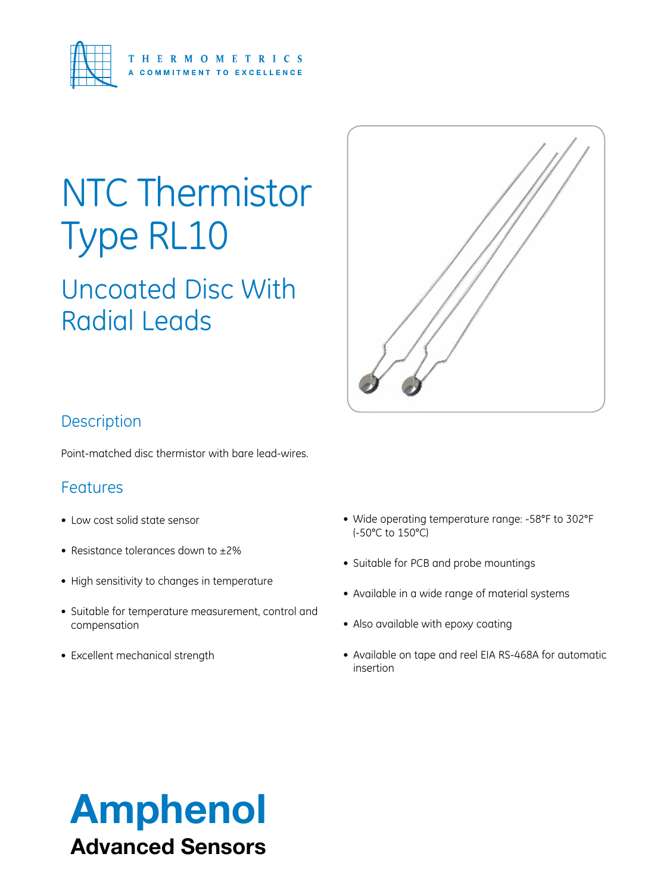

# NTC Thermistor Type RL10

Uncoated Disc With Radial Leads



### **Description**

Point-matched disc thermistor with bare lead-wires.

#### Features

- Low cost solid state sensor
- Resistance tolerances down to  $\pm 2\%$
- High sensitivity to changes in temperature
- Suitable for temperature measurement, control and compensation
- Excellent mechanical strength
- • Wide operating temperature range: -58°F to 302°F (-50°C to 150°C)
- Suitable for PCB and probe mountings
- Available in a wide range of material systems
- Also available with epoxy coating
- Available on tape and reel EIA RS-468A for automatic insertion

## Amphenol Advanced Sensors